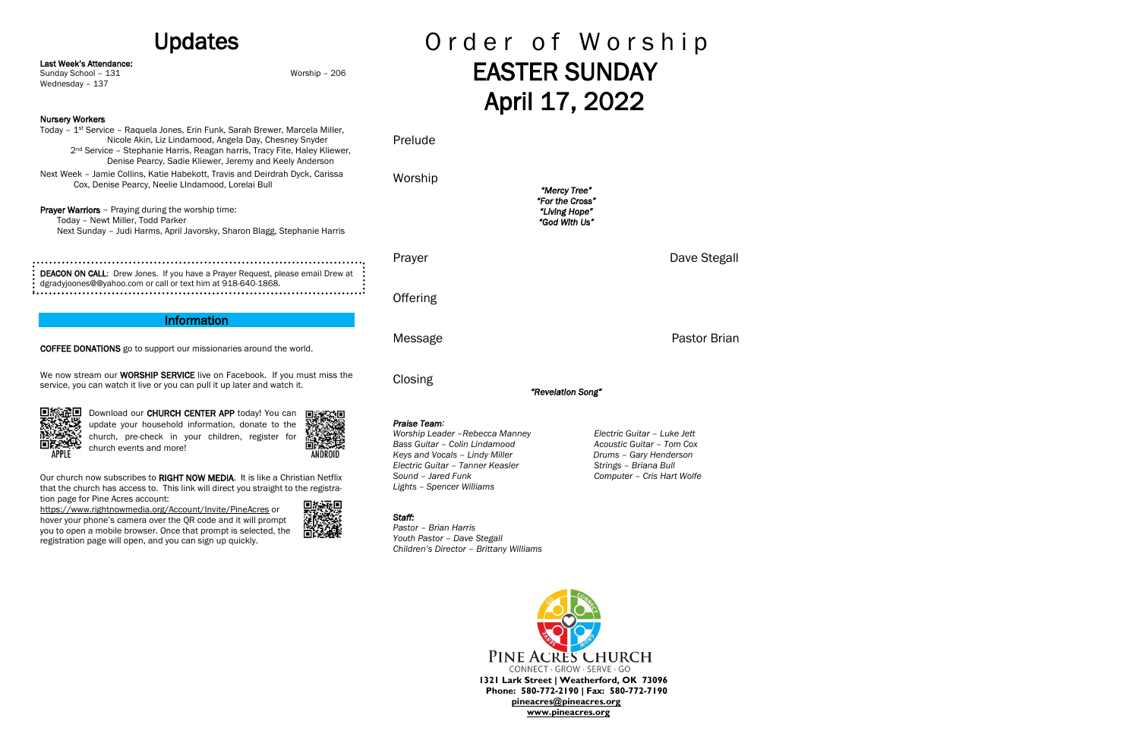## Updates

Last Week's Attendance:

Sunday School – 131 Worship – 206

Wednesday – 137

### Nursery Workers

Today – 1st Service – Raquela Jones, Erin Funk, Sarah Brewer, Marcela Miller, Nicole Akin, Liz Lindamood, Angela Day, Chesney Snyder 2<sup>nd</sup> Service - Stephanie Harris, Reagan harris, Tracy Fite, Haley Kliewer, Denise Pearcy, Sadie Kliewer, Jeremy and Keely Anderson Next Week – Jamie Collins, Katie Habekott, Travis and Deirdrah Dyck, Carissa Cox, Denise Pearcy, Neelie LIndamood, Lorelai Bull

Prayer Warriors - Praying during the worship time: Today – Newt Miller, Todd Parker Next Sunday – Judi Harms, April Javorsky, Sharon Blagg, Stephanie Harris

We now stream our **WORSHIP SERVICE** live on Facebook. If you must miss the service, you can watch it live or you can pull it up later and watch it.



Our church now subscribes to RIGHT NOW MEDIA. It is like a Christian Netflix that the church has access to. This link will direct you straight to the registration page for Pine Acres account:

| : DEACON ON CALL: Drew Jones. If you have a Prayer Request, please email Drew at : |
|------------------------------------------------------------------------------------|
| : dgradyjoones@@yahoo.com or call or text him at 918-640-1868.                     |
|                                                                                    |

## Information

# Order of Worship EASTER SUNDAY April 17, 2022

COFFEE DONATIONS go to support our missionaries around the world.

Download our CHURCH CENTER APP today! You can update your household information, donate to the church, pre-check in your children, register for church events and more!

> PINE ACRES CHURCH CONNECT · GROW · SERVE · GO **1321 Lark Street | Weatherford, OK 73096 Phone: 580-772-2190 | Fax: 580-772-7190 [pineacres@pineacres.org](mailto:pineacres@pineacres.org) [www.pineacres.org](http://www.pineacres.org/)**

<https://www.rightnowmedia.org/Account/Invite/PineAcres> or hover your phone's camera over the QR code and it will prompt you to open a mobile browser. Once that prompt is selected, the registration page will open, and you can sign up quickly.



Prelude

Worship *"Mercy Tree" "For the Cross" "Living Hope" "God With Us"*  Prayer **Dave Stegall Offering** Message **Pastor Brian Closing** *"Revelation Song" Praise Team:*

*Worship Leader –Rebecca Manney Electric Guitar – Luke Jett Bass Guitar – Colin Lindamood Acoustic Guitar – Tom Cox Keys and Vocals – Lindy Miller Drums – Gary Henderson Electric Guitar – Tanner Keasler Strings – Briana Bull Sound – Jared Funk Computer – Cris Hart Wolfe Lights – Spencer Williams*

*Staff:* 

*Pastor – Brian Harris Youth Pastor – Dave Stegall*

*Children's Director – Brittany Williams*